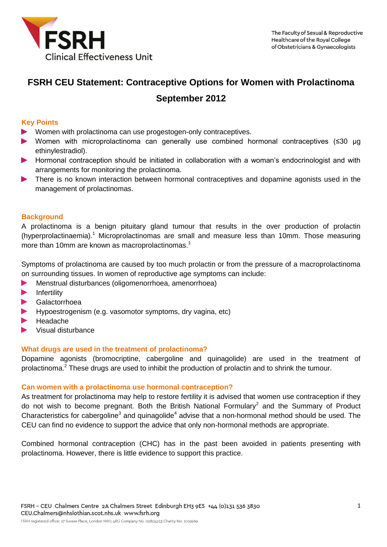

# **FSRH CEU Statement: Contraceptive Options for Women with Prolactinoma September 2012**

## **Key Points**

- Women with prolactinoma can use progestogen-only contraceptives.
- Women with microprolactinoma can generally use combined hormonal contraceptives (≤30 μg ethinylestradiol).
- Hormonal contraception should be initiated in collaboration with a woman's endocrinologist and with arrangements for monitoring the prolactinoma.
- There is no known interaction between hormonal contraceptives and dopamine agonists used in the management of prolactinomas.

## **Background**

A prolactinoma is a benign pituitary gland tumour that results in the over production of prolactin (hyperprolactinaemia). <sup>1</sup> Microprolactinomas are small and measure less than 10mm. Those measuring more than 10mm are known as macroprolactinomas. 1

Symptoms of prolactinoma are caused by too much prolactin or from the pressure of a macroprolactinoma on surrounding tissues. In women of reproductive age symptoms can include:

- Menstrual disturbances (oligomenorrhoea, amenorrhoea)  $\blacktriangleright$
- Infertility
- **Galactorrhoea**
- Hypoestrogenism (e.g. vasomotor symptoms, dry vagina, etc)
- Headache
- Visual disturbance

## **What drugs are used in the treatment of prolactinoma?**

Dopamine agonists (bromocriptine, cabergoline and quinagolide) are used in the treatment of prolactinoma.<sup>2</sup> These drugs are used to inhibit the production of prolactin and to shrink the tumour.

#### **Can women with a prolactinoma use hormonal contraception?**

As treatment for prolactinoma may help to restore fertility it is advised that women use contraception if they do not wish to become pregnant. Both the British National Formulary<sup>2</sup> and the Summary of Product Characteristics for cabergoline<sup>3</sup> and quinagolide<sup>4</sup> advise that a non-hormonal method should be used. The CEU can find no evidence to support the advice that only non-hormonal methods are appropriate.

Combined hormonal contraception (CHC) has in the past been avoided in patients presenting with prolactinoma. However, there is little evidence to support this practice.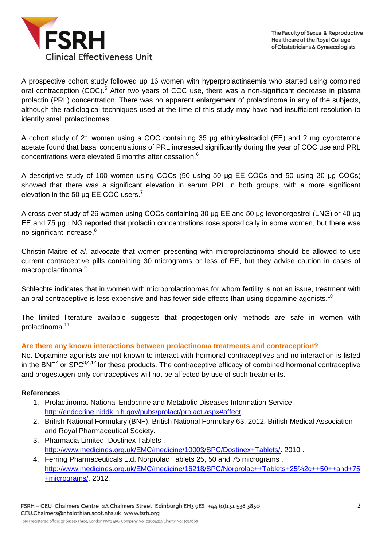

A prospective cohort study followed up 16 women with hyperprolactinaemia who started using combined oral contraception (COC).<sup>5</sup> After two years of COC use, there was a non-significant decrease in plasma prolactin (PRL) concentration. There was no apparent enlargement of prolactinoma in any of the subjects, although the radiological techniques used at the time of this study may have had insufficient resolution to identify small prolactinomas.

A cohort study of 21 women using a COC containing 35 μg ethinylestradiol (EE) and 2 mg cyproterone acetate found that basal concentrations of PRL increased significantly during the year of COC use and PRL concentrations were elevated 6 months after cessation. $6$ 

A descriptive study of 100 women using COCs (50 using 50 μg EE COCs and 50 using 30 μg COCs) showed that there was a significant elevation in serum PRL in both groups, with a more significant elevation in the 50 µg EE COC users.<sup>7</sup>

A cross-over study of 26 women using COCs containing 30 μg EE and 50 μg levonorgestrel (LNG) or 40 μg EE and 75 μg LNG reported that prolactin concentrations rose sporadically in some women, but there was no significant increase.<sup>8</sup>

Christin-Maitre *et al.* advocate that women presenting with microprolactinoma should be allowed to use current contraceptive pills containing 30 micrograms or less of EE, but they advise caution in cases of macroprolactinoma.<sup>9</sup>

Schlechte indicates that in women with microprolactinomas for whom fertility is not an issue, treatment with an oral contraceptive is less expensive and has fewer side effects than using dopamine agonists.<sup>10</sup>

The limited literature available suggests that progestogen-only methods are safe in women with prolactinoma.<sup>11</sup>

# **Are there any known interactions between prolactinoma treatments and contraception?**

No. Dopamine agonists are not known to interact with hormonal contraceptives and no interaction is listed in the BNF<sup>2</sup> or SPC<sup>3,4,12</sup> for these products. The contraceptive efficacy of combined hormonal contraceptive and progestogen-only contraceptives will not be affected by use of such treatments.

## **References**

- 1. Prolactinoma. National Endocrine and Metabolic Diseases Information Service. <http://endocrine.niddk.nih.gov/pubs/prolact/prolact.aspx#affect>
- 2. British National Formulary (BNF). British National Formulary:63. 2012. British Medical Association and Royal Pharmaceutical Society.
- 3. Pharmacia Limited. Dostinex Tablets . [http://www.medicines.org.uk/EMC/medicine/10003/SPC/Dostinex+Tablets/.](http://www.medicines.org.uk/EMC/medicine/10003/SPC/Dostinex+Tablets/) 2010 .
- 4. Ferring Pharmaceuticals Ltd. Norprolac Tablets 25, 50 and 75 micrograms . [http://www.medicines.org.uk/EMC/medicine/16218/SPC/Norprolac++Tablets+25%2c++50++and+75](http://www.medicines.org.uk/EMC/medicine/16218/SPC/Norprolac++Tablets+25%2c++50++and+75+micrograms/) [+micrograms/.](http://www.medicines.org.uk/EMC/medicine/16218/SPC/Norprolac++Tablets+25%2c++50++and+75+micrograms/) 2012.